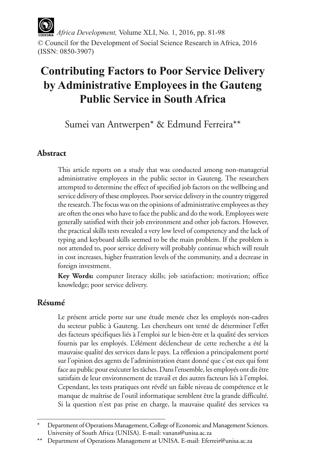*Africa Development,* Volume XLI, No. 1, 2016, pp. 81-98 © Council for the Development of Social Science Research in Africa, 2016 (ISSN: 0850-3907)

# **Contributing Factors to Poor Service Delivery by Administrative Employees in the Gauteng Public Service in South Africa**

Sumei van Antwerpen\* & Edmund Ferreira\*\*

#### **Abstract**

This article reports on a study that was conducted among non-managerial administrative employees in the public sector in Gauteng. The researchers attempted to determine the effect of specified job factors on the wellbeing and service delivery of these employees. Poor service delivery in the country triggered the research. The focus was on the opinions of administrative employees as they are often the ones who have to face the public and do the work. Employees were generally satisfied with their job environment and other job factors. However, the practical skills tests revealed a very low level of competency and the lack of typing and keyboard skills seemed to be the main problem. If the problem is not attended to, poor service delivery will probably continue which will result in cost increases, higher frustration levels of the community, and a decrease in foreign investment.

**Key Words:** computer literacy skills; job satisfaction; motivation; office knowledge; poor service delivery.

#### **Résumé**

Le présent article porte sur une étude menée chez les employés non-cadres du secteur public à Gauteng. Les chercheurs ont tenté de déterminer l'effet des facteurs spécifiques liés à l'emploi sur le bien-être et la qualité des services fournis par les employés. L'élément déclencheur de cette recherche a été la mauvaise qualité des services dans le pays. La réflexion a principalement porté sur l'opinion des agents de l'administration étant donné que c'est eux qui font face au public pour exécuter les tâches. Dans l'ensemble, les employés ont dit être satisfaits de leur environnement de travail et des autres facteurs liés à l'emploi. Cependant, les tests pratiques ont révélé un faible niveau de compétence et le manque de maîtrise de l'outil informatique semblent être la grande difficulté. Si la question n'est pas prise en charge, la mauvaise qualité des services va

Department of Operations Management, College of Economic and Management Sciences. University of South Africa (UNISA). E-mail: vanans@unisa.ac.za

<sup>\*\*</sup> Department of Operations Management at UNISA. E-mail: Eferreir@unisa.ac.za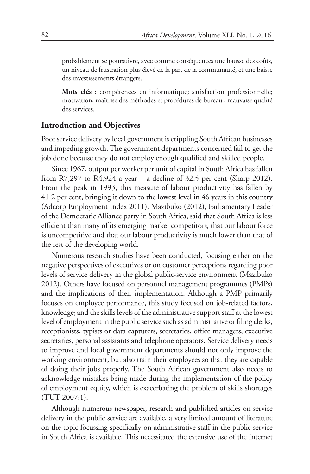probablement se poursuivre, avec comme conséquences une hausse des coûts, un niveau de frustration plus élevé de la part de la communauté, et une baisse des investissements étrangers.

**Mots clés :** compétences en informatique; satisfaction professionnelle; motivation; maîtrise des méthodes et procédures de bureau ; mauvaise qualité des services.

#### **Introduction and Objectives**

Poor service delivery by local government is crippling South African businesses and impeding growth. The government departments concerned fail to get the job done because they do not employ enough qualified and skilled people.

Since 1967, output per worker per unit of capital in South Africa has fallen from R7,297 to R4,924 a year – a decline of 32.5 per cent (Sharp 2012). From the peak in 1993, this measure of labour productivity has fallen by 41.2 per cent, bringing it down to the lowest level in 46 years in this country (Adcorp Employment Index 2011). Mazibuko (2012), Parliamentary Leader of the Democratic Alliance party in South Africa, said that South Africa is less efficient than many of its emerging market competitors, that our labour force is uncompetitive and that our labour productivity is much lower than that of the rest of the developing world.

Numerous research studies have been conducted, focusing either on the negative perspectives of executives or on customer perceptions regarding poor levels of service delivery in the global public-service environment (Mazibuko 2012). Others have focused on personnel management programmes (PMPs) and the implications of their implementation. Although a PMP primarily focuses on employee performance, this study focused on job-related factors, knowledge; and the skills levels of the administrative support staff at the lowest level of employment in the public service such as administrative or filing clerks, receptionists, typists or data capturers, secretaries, office managers, executive secretaries, personal assistants and telephone operators. Service delivery needs to improve and local government departments should not only improve the working environment, but also train their employees so that they are capable of doing their jobs properly. The South African government also needs to acknowledge mistakes being made during the implementation of the policy of employment equity, which is exacerbating the problem of skills shortages (TUT 2007:1).

Although numerous newspaper, research and published articles on service delivery in the public service are available, a very limited amount of literature on the topic focussing specifically on administrative staff in the public service in South Africa is available. This necessitated the extensive use of the Internet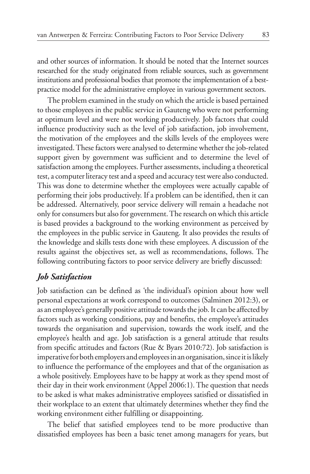and other sources of information. It should be noted that the Internet sources researched for the study originated from reliable sources, such as government institutions and professional bodies that promote the implementation of a bestpractice model for the administrative employee in various government sectors.

The problem examined in the study on which the article is based pertained to those employees in the public service in Gauteng who were not performing at optimum level and were not working productively. Job factors that could influence productivity such as the level of job satisfaction, job involvement, the motivation of the employees and the skills levels of the employees were investigated. These factors were analysed to determine whether the job-related support given by government was sufficient and to determine the level of satisfaction among the employees. Further assessments, including a theoretical test, a computer literacy test and a speed and accuracy test were also conducted. This was done to determine whether the employees were actually capable of performing their jobs productively. If a problem can be identified, then it can be addressed. Alternatively, poor service delivery will remain a headache not only for consumers but also for government. The research on which this article is based provides a background to the working environment as perceived by the employees in the public service in Gauteng. It also provides the results of the knowledge and skills tests done with these employees. A discussion of the results against the objectives set, as well as recommendations, follows. The following contributing factors to poor service delivery are briefly discussed:

#### *Job Satisfaction*

Job satisfaction can be defined as 'the individual's opinion about how well personal expectations at work correspond to outcomes (Salminen 2012:3), or as an employee's generally positive attitude towards the job. It can be affected by factors such as working conditions, pay and benefits, the employee's attitudes towards the organisation and supervision, towards the work itself, and the employee's health and age. Job satisfaction is a general attitude that results from specific attitudes and factors (Rue & Byars 2010:72). Job satisfaction is imperative for both employers and employees in an organisation, since it is likely to influence the performance of the employees and that of the organisation as a whole positively. Employees have to be happy at work as they spend most of their day in their work environment (Appel 2006:1). The question that needs to be asked is what makes administrative employees satisfied or dissatisfied in their workplace to an extent that ultimately determines whether they find the working environment either fulfilling or disappointing.

The belief that satisfied employees tend to be more productive than dissatisfied employees has been a basic tenet among managers for years, but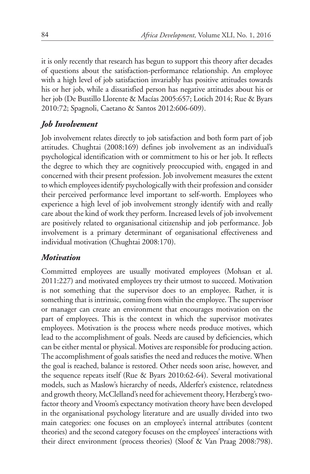it is only recently that research has begun to support this theory after decades of questions about the satisfaction-performance relationship. An employee with a high level of job satisfaction invariably has positive attitudes towards his or her job, while a dissatisfied person has negative attitudes about his or her job (De Bustillo Llorente & Macías 2005:657; Lotich 2014; Rue & Byars 2010:72; Spagnoli, Caetano & Santos 2012:606-609).

# *Job Involvement*

Job involvement relates directly to job satisfaction and both form part of job attitudes. Chughtai (2008:169) defines job involvement as an individual's psychological identification with or commitment to his or her job. It reflects the degree to which they are cognitively preoccupied with, engaged in and concerned with their present profession. Job involvement measures the extent to which employees identify psychologically with their profession and consider their perceived performance level important to self-worth. Employees who experience a high level of job involvement strongly identify with and really care about the kind of work they perform. Increased levels of job involvement are positively related to organisational citizenship and job performance. Job involvement is a primary determinant of organisational effectiveness and individual motivation (Chughtai 2008:170).

# *Motivation*

Committed employees are usually motivated employees (Mohsan et al. 2011:227) and motivated employees try their utmost to succeed. Motivation is not something that the supervisor does to an employee. Rather, it is something that is intrinsic, coming from within the employee. The supervisor or manager can create an environment that encourages motivation on the part of employees. This is the context in which the supervisor motivates employees. Motivation is the process where needs produce motives, which lead to the accomplishment of goals. Needs are caused by deficiencies, which can be either mental or physical. Motives are responsible for producing action. The accomplishment of goals satisfies the need and reduces the motive. When the goal is reached, balance is restored. Other needs soon arise, however, and the sequence repeats itself (Rue & Byars 2010:62-64). Several motivational models, such as Maslow's hierarchy of needs, Alderfer's existence, relatedness and growth theory, McClelland's need for achievement theory, Herzberg's twofactor theory and Vroom's expectancy motivation theory have been developed in the organisational psychology literature and are usually divided into two main categories: one focuses on an employee's internal attributes (content theories) and the second category focuses on the employees' interactions with their direct environment (process theories) (Sloof & Van Praag 2008:798).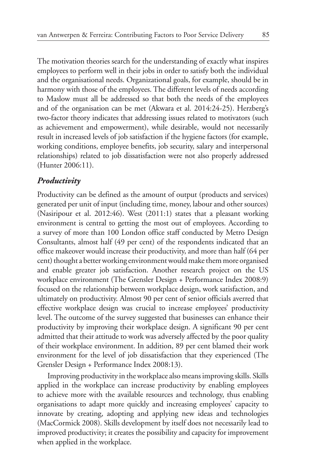The motivation theories search for the understanding of exactly what inspires employees to perform well in their jobs in order to satisfy both the individual and the organisational needs. Organizational goals, for example, should be in harmony with those of the employees. The different levels of needs according to Maslow must all be addressed so that both the needs of the employees and of the organisation can be met (Akwara et al. 2014:24-25). Herzberg's two-factor theory indicates that addressing issues related to motivators (such as achievement and empowerment), while desirable, would not necessarily result in increased levels of job satisfaction if the hygiene factors (for example, working conditions, employee benefits, job security, salary and interpersonal relationships) related to job dissatisfaction were not also properly addressed (Hunter 2006:11).

#### *Productivity*

Productivity can be defined as the amount of output (products and services) generated per unit of input (including time, money, labour and other sources) (Nasiripour et al. 2012:46). West (2011:1) states that a pleasant working environment is central to getting the most out of employees. According to a survey of more than 100 London office staff conducted by Metro Design Consultants, almost half (49 per cent) of the respondents indicated that an office makeover would increase their productivity, and more than half (64 per cent) thought a better working environment would make them more organised and enable greater job satisfaction. Another research project on the US workplace environment (The Grensler Design + Performance Index 2008:9) focused on the relationship between workplace design, work satisfaction, and ultimately on productivity. Almost 90 per cent of senior officials averred that effective workplace design was crucial to increase employees' productivity level. The outcome of the survey suggested that businesses can enhance their productivity by improving their workplace design. A significant 90 per cent admitted that their attitude to work was adversely affected by the poor quality of their workplace environment. In addition, 89 per cent blamed their work environment for the level of job dissatisfaction that they experienced (The Grensler Design + Performance Index 2008:13).

Improving productivity in the workplace also means improving skills. Skills applied in the workplace can increase productivity by enabling employees to achieve more with the available resources and technology, thus enabling organisations to adapt more quickly and increasing employees' capacity to innovate by creating, adopting and applying new ideas and technologies (MacCormick 2008). Skills development by itself does not necessarily lead to improved productivity; it creates the possibility and capacity for improvement when applied in the workplace.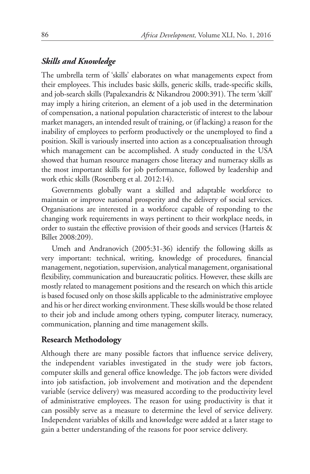#### *Skills and Knowledge*

The umbrella term of 'skills' elaborates on what managements expect from their employees. This includes basic skills, generic skills, trade-specific skills, and job-search skills (Papalexandris & Nikandrou 2000:391). The term 'skill' may imply a hiring criterion, an element of a job used in the determination of compensation, a national population characteristic of interest to the labour market managers, an intended result of training, or (if lacking) a reason for the inability of employees to perform productively or the unemployed to find a position. Skill is variously inserted into action as a conceptualisation through which management can be accomplished. A study conducted in the USA showed that human resource managers chose literacy and numeracy skills as the most important skills for job performance, followed by leadership and work ethic skills (Rosenberg et al. 2012:14).

Governments globally want a skilled and adaptable workforce to maintain or improve national prosperity and the delivery of social services. Organisations are interested in a workforce capable of responding to the changing work requirements in ways pertinent to their workplace needs, in order to sustain the effective provision of their goods and services (Harteis & Billet 2008:209).

Umeh and Andranovich (2005:31-36) identify the following skills as very important: technical, writing, knowledge of procedures, financial management, negotiation, supervision, analytical management, organisational flexibility, communication and bureaucratic politics. However, these skills are mostly related to management positions and the research on which this article is based focused only on those skills applicable to the administrative employee and his or her direct working environment. These skills would be those related to their job and include among others typing, computer literacy, numeracy, communication, planning and time management skills.

#### **Research Methodology**

Although there are many possible factors that influence service delivery, the independent variables investigated in the study were job factors, computer skills and general office knowledge. The job factors were divided into job satisfaction, job involvement and motivation and the dependent variable (service delivery) was measured according to the productivity level of administrative employees. The reason for using productivity is that it can possibly serve as a measure to determine the level of service delivery. Independent variables of skills and knowledge were added at a later stage to gain a better understanding of the reasons for poor service delivery.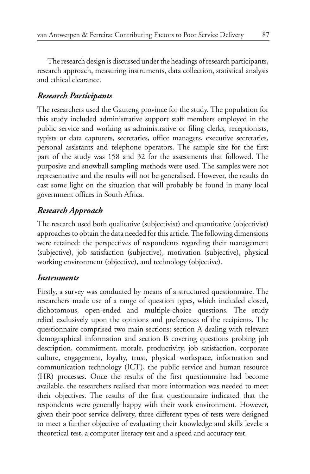The research design is discussed under the headings of research participants, research approach, measuring instruments, data collection, statistical analysis and ethical clearance.

# *Research Participants*

The researchers used the Gauteng province for the study. The population for this study included administrative support staff members employed in the public service and working as administrative or filing clerks, receptionists, typists or data capturers, secretaries, office managers, executive secretaries, personal assistants and telephone operators. The sample size for the first part of the study was 158 and 32 for the assessments that followed. The purposive and snowball sampling methods were used. The samples were not representative and the results will not be generalised. However, the results do cast some light on the situation that will probably be found in many local government offices in South Africa.

# *Research Approach*

The research used both qualitative (subjectivist) and quantitative (objectivist) approaches to obtain the data needed for this article. The following dimensions were retained: the perspectives of respondents regarding their management (subjective), job satisfaction (subjective), motivation (subjective), physical working environment (objective), and technology (objective).

# *Instruments*

Firstly, a survey was conducted by means of a structured questionnaire. The researchers made use of a range of question types, which included closed, dichotomous, open-ended and multiple-choice questions. The study relied exclusively upon the opinions and preferences of the recipients. The questionnaire comprised two main sections: section A dealing with relevant demographical information and section B covering questions probing job description, commitment, morale, productivity, job satisfaction, corporate culture, engagement, loyalty, trust, physical workspace, information and communication technology (ICT), the public service and human resource (HR) processes. Once the results of the first questionnaire had become available, the researchers realised that more information was needed to meet their objectives. The results of the first questionnaire indicated that the respondents were generally happy with their work environment. However, given their poor service delivery, three different types of tests were designed to meet a further objective of evaluating their knowledge and skills levels: a theoretical test, a computer literacy test and a speed and accuracy test.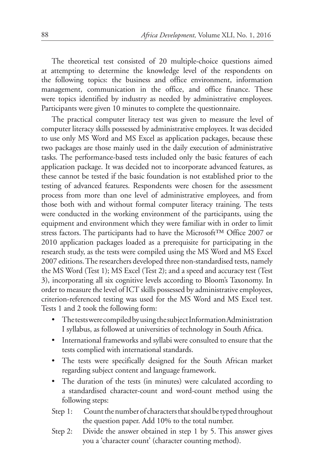The theoretical test consisted of 20 multiple-choice questions aimed at attempting to determine the knowledge level of the respondents on the following topics: the business and office environment, information management, communication in the office, and office finance. These were topics identified by industry as needed by administrative employees. Participants were given 10 minutes to complete the questionnaire.

The practical computer literacy test was given to measure the level of computer literacy skills possessed by administrative employees. It was decided to use only MS Word and MS Excel as application packages, because these two packages are those mainly used in the daily execution of administrative tasks. The performance-based tests included only the basic features of each application package. It was decided not to incorporate advanced features, as these cannot be tested if the basic foundation is not established prior to the testing of advanced features. Respondents were chosen for the assessment process from more than one level of administrative employees, and from those both with and without formal computer literacy training. The tests were conducted in the working environment of the participants, using the equipment and environment which they were familiar with in order to limit stress factors. The participants had to have the Microsoft™ Office 2007 or 2010 application packages loaded as a prerequisite for participating in the research study, as the tests were compiled using the MS Word and MS Excel 2007 editions. The researchers developed three non-standardised tests, namely the MS Word (Test 1); MS Excel (Test 2); and a speed and accuracy test (Test 3), incorporating all six cognitive levels according to Bloom's Taxonomy. In order to measure the level of ICT skills possessed by administrative employees, criterion-referenced testing was used for the MS Word and MS Excel test. Tests 1 and 2 took the following form:

- The tests were compiled by using the subject Information Administration I syllabus, as followed at universities of technology in South Africa.
- International frameworks and syllabi were consulted to ensure that the tests complied with international standards.
- The tests were specifically designed for the South African market regarding subject content and language framework.
- The duration of the tests (in minutes) were calculated according to a standardised character-count and word-count method using the following steps:
- Step 1: Count the number of characters that should be typed throughout the question paper. Add 10% to the total number.
- Step 2: Divide the answer obtained in step 1 by 5. This answer gives you a 'character count' (character counting method).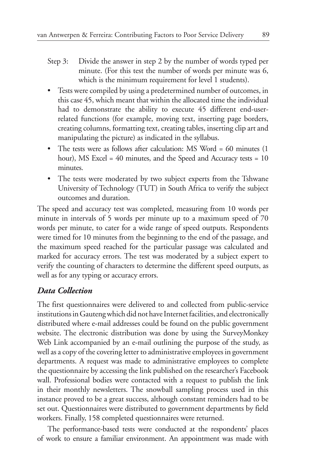- Step 3: Divide the answer in step 2 by the number of words typed per minute. (For this test the number of words per minute was 6, which is the minimum requirement for level 1 students).
- • Tests were compiled by using a predetermined number of outcomes, in this case 45, which meant that within the allocated time the individual had to demonstrate the ability to execute 45 different end-userrelated functions (for example, moving text, inserting page borders, creating columns, formatting text, creating tables, inserting clip art and manipulating the picture) as indicated in the syllabus.
- The tests were as follows after calculation: MS Word = 60 minutes (1) hour), MS Excel = 40 minutes, and the Speed and Accuracy tests = 10 minutes.
- The tests were moderated by two subject experts from the Tshwane University of Technology (TUT) in South Africa to verify the subject outcomes and duration.

The speed and accuracy test was completed, measuring from 10 words per minute in intervals of 5 words per minute up to a maximum speed of 70 words per minute, to cater for a wide range of speed outputs. Respondents were timed for 10 minutes from the beginning to the end of the passage, and the maximum speed reached for the particular passage was calculated and marked for accuracy errors. The test was moderated by a subject expert to verify the counting of characters to determine the different speed outputs, as well as for any typing or accuracy errors.

#### *Data Collection*

The first questionnaires were delivered to and collected from public-service institutions in Gauteng which did not have Internet facilities, and electronically distributed where e-mail addresses could be found on the public government website. The electronic distribution was done by using the SurveyMonkey Web Link accompanied by an e-mail outlining the purpose of the study, as well as a copy of the covering letter to administrative employees in government departments. A request was made to administrative employees to complete the questionnaire by accessing the link published on the researcher's Facebook wall. Professional bodies were contacted with a request to publish the link in their monthly newsletters. The snowball sampling process used in this instance proved to be a great success, although constant reminders had to be set out. Questionnaires were distributed to government departments by field workers. Finally, 158 completed questionnaires were returned.

The performance-based tests were conducted at the respondents' places of work to ensure a familiar environment. An appointment was made with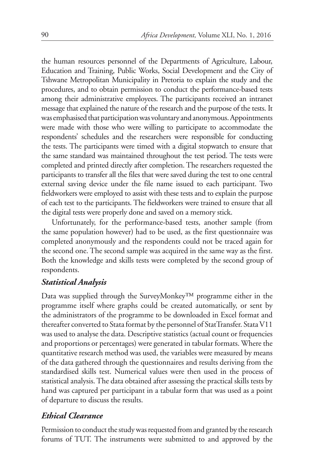the human resources personnel of the Departments of Agriculture, Labour, Education and Training, Public Works, Social Development and the City of Tshwane Metropolitan Municipality in Pretoria to explain the study and the procedures, and to obtain permission to conduct the performance-based tests among their administrative employees. The participants received an intranet message that explained the nature of the research and the purpose of the tests. It was emphasised that participation was voluntary and anonymous. Appointments were made with those who were willing to participate to accommodate the respondents' schedules and the researchers were responsible for conducting the tests. The participants were timed with a digital stopwatch to ensure that the same standard was maintained throughout the test period. The tests were completed and printed directly after completion. The researchers requested the participants to transfer all the files that were saved during the test to one central external saving device under the file name issued to each participant. Two fieldworkers were employed to assist with these tests and to explain the purpose of each test to the participants. The fieldworkers were trained to ensure that all the digital tests were properly done and saved on a memory stick.

Unfortunately, for the performance-based tests, another sample (from the same population however) had to be used, as the first questionnaire was completed anonymously and the respondents could not be traced again for the second one. The second sample was acquired in the same way as the first. Both the knowledge and skills tests were completed by the second group of respondents.

# *Statistical Analysis*

Data was supplied through the SurveyMonkey™ programme either in the programme itself where graphs could be created automatically, or sent by the administrators of the programme to be downloaded in Excel format and thereafter converted to Stata format by the personnel of StatTransfer. Stata V11 was used to analyse the data. Descriptive statistics (actual count or frequencies and proportions or percentages) were generated in tabular formats. Where the quantitative research method was used, the variables were measured by means of the data gathered through the questionnaires and results deriving from the standardised skills test. Numerical values were then used in the process of statistical analysis. The data obtained after assessing the practical skills tests by hand was captured per participant in a tabular form that was used as a point of departure to discuss the results.

#### *Ethical Clearance*

Permission to conduct the study was requested from and granted by the research forums of TUT. The instruments were submitted to and approved by the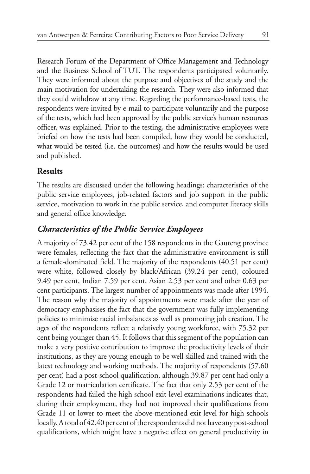Research Forum of the Department of Office Management and Technology and the Business School of TUT. The respondents participated voluntarily. They were informed about the purpose and objectives of the study and the main motivation for undertaking the research. They were also informed that they could withdraw at any time. Regarding the performance-based tests, the respondents were invited by e-mail to participate voluntarily and the purpose of the tests, which had been approved by the public service's human resources officer, was explained. Prior to the testing, the administrative employees were briefed on how the tests had been compiled, how they would be conducted, what would be tested (i.e. the outcomes) and how the results would be used and published.

#### **Results**

The results are discussed under the following headings: characteristics of the public service employees, job-related factors and job support in the public service, motivation to work in the public service, and computer literacy skills and general office knowledge.

# *Characteristics of the Public Service Employees*

A majority of 73.42 per cent of the 158 respondents in the Gauteng province were females, reflecting the fact that the administrative environment is still a female-dominated field. The majority of the respondents (40.51 per cent) were white, followed closely by black/African (39.24 per cent), coloured 9.49 per cent, Indian 7.59 per cent, Asian 2.53 per cent and other 0.63 per cent participants. The largest number of appointments was made after 1994. The reason why the majority of appointments were made after the year of democracy emphasises the fact that the government was fully implementing policies to minimise racial imbalances as well as promoting job creation. The ages of the respondents reflect a relatively young workforce, with 75.32 per cent being younger than 45. It follows that this segment of the population can make a very positive contribution to improve the productivity levels of their institutions, as they are young enough to be well skilled and trained with the latest technology and working methods. The majority of respondents (57.60 per cent) had a post-school qualification, although 39.87 per cent had only a Grade 12 or matriculation certificate. The fact that only 2.53 per cent of the respondents had failed the high school exit-level examinations indicates that, during their employment, they had not improved their qualifications from Grade 11 or lower to meet the above-mentioned exit level for high schools locally. A total of 42.40 per cent of the respondents did not have any post-school qualifications, which might have a negative effect on general productivity in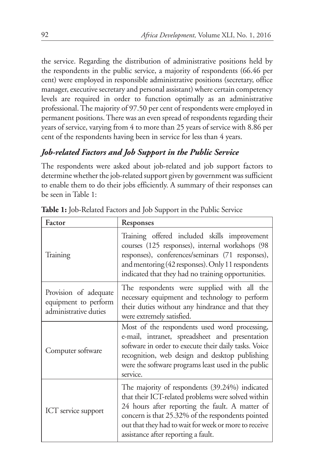the service. Regarding the distribution of administrative positions held by the respondents in the public service, a majority of respondents (66.46 per cent) were employed in responsible administrative positions (secretary, office manager, executive secretary and personal assistant) where certain competency levels are required in order to function optimally as an administrative professional. The majority of 97.50 per cent of respondents were employed in permanent positions. There was an even spread of respondents regarding their years of service, varying from 4 to more than 25 years of service with 8.86 per cent of the respondents having been in service for less than 4 years.

# *Job-related Factors and Job Support in the Public Service*

The respondents were asked about job-related and job support factors to determine whether the job-related support given by government was sufficient to enable them to do their jobs efficiently. A summary of their responses can be seen in Table 1:

| Factor                                                                 | Responses                                                                                                                                                                                                                                                                                                    |
|------------------------------------------------------------------------|--------------------------------------------------------------------------------------------------------------------------------------------------------------------------------------------------------------------------------------------------------------------------------------------------------------|
| Training                                                               | Training offered included skills improvement<br>courses (125 responses), internal workshops (98<br>responses), conferences/seminars (71 responses),<br>and mentoring (42 responses). Only 11 respondents<br>indicated that they had no training opportunities.                                               |
| Provision of adequate<br>equipment to perform<br>administrative duties | The respondents were supplied with all the<br>necessary equipment and technology to perform<br>their duties without any hindrance and that they<br>were extremely satisfied.                                                                                                                                 |
| Computer software                                                      | Most of the respondents used word processing,<br>e-mail, intranet, spreadsheet and presentation<br>software in order to execute their daily tasks. Voice<br>recognition, web design and desktop publishing<br>were the software programs least used in the public<br>service.                                |
| ICT service support                                                    | The majority of respondents (39.24%) indicated<br>that their ICT-related problems were solved within<br>24 hours after reporting the fault. A matter of<br>concern is that 25.32% of the respondents pointed<br>out that they had to wait for week or more to receive<br>assistance after reporting a fault. |

**Table 1:** Job-Related Factors and Job Support in the Public Service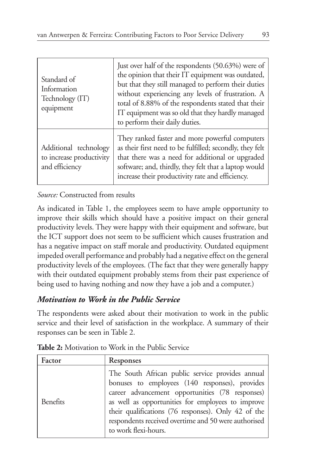| Standard of<br>Information<br>Technology (IT)<br>equipment          | Just over half of the respondents (50.63%) were of<br>the opinion that their IT equipment was outdated,<br>but that they still managed to perform their duties<br>without experiencing any levels of frustration. A<br>total of 8.88% of the respondents stated that their<br>IT equipment was so old that they hardly managed<br>to perform their daily duties. |
|---------------------------------------------------------------------|------------------------------------------------------------------------------------------------------------------------------------------------------------------------------------------------------------------------------------------------------------------------------------------------------------------------------------------------------------------|
| Additional technology<br>to increase productivity<br>and efficiency | They ranked faster and more powerful computers<br>as their first need to be fulfilled; secondly, they felt<br>that there was a need for additional or upgraded<br>software; and, thirdly, they felt that a laptop would<br>increase their productivity rate and efficiency.                                                                                      |

*Source:* Constructed from results

As indicated in Table 1, the employees seem to have ample opportunity to improve their skills which should have a positive impact on their general productivity levels. They were happy with their equipment and software, but the ICT support does not seem to be sufficient which causes frustration and has a negative impact on staff morale and productivity. Outdated equipment impeded overall performance and probably had a negative effect on the general productivity levels of the employees. (The fact that they were generally happy with their outdated equipment probably stems from their past experience of being used to having nothing and now they have a job and a computer.)

# *Motivation to Work in the Public Service*

The respondents were asked about their motivation to work in the public service and their level of satisfaction in the workplace. A summary of their responses can be seen in Table 2.

| Factor   | Responses                                                                                                                                                                                                                                                                                                                                         |
|----------|---------------------------------------------------------------------------------------------------------------------------------------------------------------------------------------------------------------------------------------------------------------------------------------------------------------------------------------------------|
| Benefits | The South African public service provides annual<br>bonuses to employees (140 responses), provides<br>career advancement opportunities (78 responses)<br>as well as opportunities for employees to improve<br>their qualifications (76 responses). Only 42 of the<br>respondents received overtime and 50 were authorised<br>to work flexi-hours. |

**Table 2:** Motivation to Work in the Public Service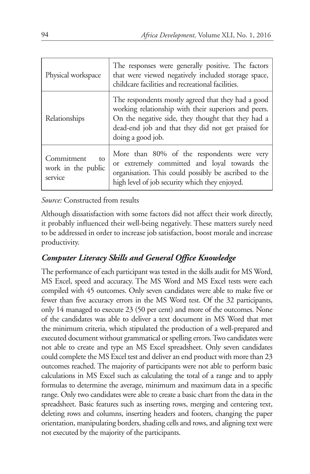| Physical workspace                                | The responses were generally positive. The factors<br>that were viewed negatively included storage space,<br>childcare facilities and recreational facilities.                                                                              |
|---------------------------------------------------|---------------------------------------------------------------------------------------------------------------------------------------------------------------------------------------------------------------------------------------------|
| Relationships                                     | The respondents mostly agreed that they had a good<br>working relationship with their superiors and peers.<br>On the negative side, they thought that they had a<br>dead-end job and that they did not get praised for<br>doing a good job. |
| Commitment<br>tΩ<br>work in the public<br>service | More than 80% of the respondents were very<br>or extremely committed and loyal towards the<br>organisation. This could possibly be ascribed to the<br>high level of job security which they enjoyed.                                        |

#### *Source:* Constructed from results

Although dissatisfaction with some factors did not affect their work directly, it probably influenced their well-being negatively. These matters surely need to be addressed in order to increase job satisfaction, boost morale and increase productivity.

# *Computer Literacy Skills and General Office Knowledge*

The performance of each participant was tested in the skills audit for MS Word, MS Excel, speed and accuracy. The MS Word and MS Excel tests were each compiled with 45 outcomes. Only seven candidates were able to make five or fewer than five accuracy errors in the MS Word test. Of the 32 participants, only 14 managed to execute 23 (50 per cent) and more of the outcomes. None of the candidates was able to deliver a text document in MS Word that met the minimum criteria, which stipulated the production of a well-prepared and executed document without grammatical or spelling errors. Two candidates were not able to create and type an MS Excel spreadsheet. Only seven candidates could complete the MS Excel test and deliver an end product with more than 23 outcomes reached. The majority of participants were not able to perform basic calculations in MS Excel such as calculating the total of a range and to apply formulas to determine the average, minimum and maximum data in a specific range. Only two candidates were able to create a basic chart from the data in the spreadsheet. Basic features such as inserting rows, merging and centering text, deleting rows and columns, inserting headers and footers, changing the paper orientation, manipulating borders, shading cells and rows, and aligning text were not executed by the majority of the participants.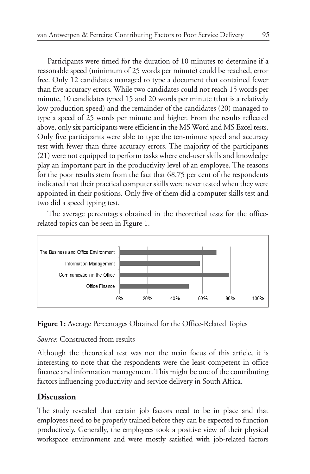Participants were timed for the duration of 10 minutes to determine if a reasonable speed (minimum of 25 words per minute) could be reached, error free. Only 12 candidates managed to type a document that contained fewer than five accuracy errors. While two candidates could not reach 15 words per minute, 10 candidates typed 15 and 20 words per minute (that is a relatively low production speed) and the remainder of the candidates (20) managed to type a speed of 25 words per minute and higher. From the results reflected above, only six participants were efficient in the MS Word and MS Excel tests. Only five participants were able to type the ten-minute speed and accuracy test with fewer than three accuracy errors. The majority of the participants (21) were not equipped to perform tasks where end-user skills and knowledge play an important part in the productivity level of an employee. The reasons for the poor results stem from the fact that 68.75 per cent of the respondents indicated that their practical computer skills were never tested when they were appointed in their positions. Only five of them did a computer skills test and two did a speed typing test.

The average percentages obtained in the theoretical tests for the officerelated topics can be seen in Figure 1.



**Figure 1:** Average Percentages Obtained for the Office-Related Topics

#### *Source*: Constructed from results

Although the theoretical test was not the main focus of this article, it is interesting to note that the respondents were the least competent in office finance and information management. This might be one of the contributing factors influencing productivity and service delivery in South Africa.

# **Discussion**

The study revealed that certain job factors need to be in place and that employees need to be properly trained before they can be expected to function productively. Generally, the employees took a positive view of their physical workspace environment and were mostly satisfied with job-related factors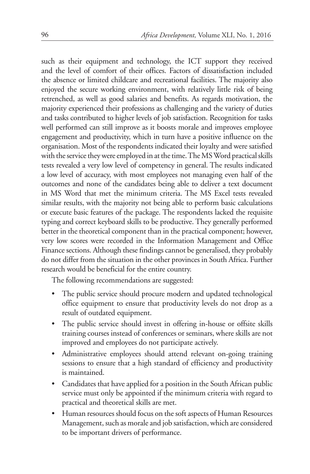such as their equipment and technology, the ICT support they received and the level of comfort of their offices. Factors of dissatisfaction included the absence or limited childcare and recreational facilities. The majority also enjoyed the secure working environment, with relatively little risk of being retrenched, as well as good salaries and benefits. As regards motivation, the majority experienced their professions as challenging and the variety of duties and tasks contributed to higher levels of job satisfaction. Recognition for tasks well performed can still improve as it boosts morale and improves employee engagement and productivity, which in turn have a positive influence on the organisation. Most of the respondents indicated their loyalty and were satisfied with the service they were employed in at the time. The MS Word practical skills tests revealed a very low level of competency in general. The results indicated a low level of accuracy, with most employees not managing even half of the outcomes and none of the candidates being able to deliver a text document in MS Word that met the minimum criteria. The MS Excel tests revealed similar results, with the majority not being able to perform basic calculations or execute basic features of the package. The respondents lacked the requisite typing and correct keyboard skills to be productive. They generally performed better in the theoretical component than in the practical component; however, very low scores were recorded in the Information Management and Office Finance sections. Although these findings cannot be generalised, they probably do not differ from the situation in the other provinces in South Africa. Further research would be beneficial for the entire country.

The following recommendations are suggested:

- The public service should procure modern and updated technological office equipment to ensure that productivity levels do not drop as a result of outdated equipment.
- The public service should invest in offering in-house or offsite skills training courses instead of conferences or seminars, where skills are not improved and employees do not participate actively.
- Administrative employees should attend relevant on-going training sessions to ensure that a high standard of efficiency and productivity is maintained.
- Candidates that have applied for a position in the South African public service must only be appointed if the minimum criteria with regard to practical and theoretical skills are met.
- Human resources should focus on the soft aspects of Human Resources Management, such as morale and job satisfaction, which are considered to be important drivers of performance.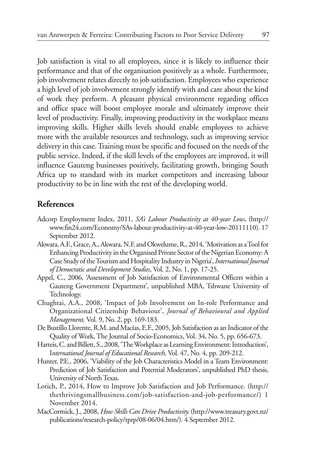Job satisfaction is vital to all employees, since it is likely to influence their performance and that of the organisation positively as a whole. Furthermore, job involvement relates directly to job satisfaction. Employees who experience a high level of job involvement strongly identify with and care about the kind of work they perform. A pleasant physical environment regarding offices and office space will boost employee morale and ultimately improve their level of productivity. Finally, improving productivity in the workplace means improving skills. Higher skills levels should enable employees to achieve more with the available resources and technology, such as improving service delivery in this case. Training must be specific and focused on the needs of the public service. Indeed, if the skill levels of the employees are improved, it will influence Gauteng businesses positively, facilitating growth, bringing South Africa up to standard with its market competitors and increasing labour productivity to be in line with the rest of the developing world.

#### **References**

- Adcorp Employment Index, 2011, *SA's Labour Productivity at 40-year Low***.** (http:// www.fin24.com/Economy/SAs-labour-productivity-at-40-year-low-20111110). 17 September 2012.
- Akwara, A.F., Grace, A., Akwara, N.F. and Okwelume, R., 2014, 'Motivation as a Tool for Enhancing Productivity in the Organised Private Sector of the Nigerian Economy: A Case Study of the Tourism and Hospitality Industry in Nigeria', *International Journal of Democratic and Development Studies*, Vol. 2, No. 1, pp. 17-25.
- Appel, C., 2006, 'Assessment of Job Satisfaction of Environmental Officers within a Gauteng Government Department', unpublished MBA, Tshwane University of Technology.
- Chughtai, A.A., 2008, 'Impact of Job Involvement on In-role Performance and Organizational Citizenship Behaviour', *Journal of Behavioural and Applied Management,* Vol. 9, No. 2, pp. 169-183.
- De Bustillo Llorente, R.M. and Macías, E.F., 2005, Job Satisfaction as an Indicator of the Quality of Work, The Journal of Socio-Economics, Vol. 34, No. 5, pp. 656-673.
- Harteis, C. and Billett, S., 2008, 'The Workplace as Learning Environment: Introduction', I*nternational Journal of Educational Research,* Vol. 47, No. 4, pp. 209-212.
- Hunter, P.E., 2006, 'Viability of the Job Characteristics Model in a Team Environment: Prediction of Job Satisfaction and Potential Moderators', unpublished PhD thesis, University of North Texas.
- Lotich, P., 2014, How to Improve Job Satisfaction and Job Performance. (http:// thethrivingsmallbusiness.com/job-satisfaction-and-job-performance/) 1 November 2014.
- MacCormick, J., 2008, *How Skills Can Drive Productivity.* (http://www.treasury.govt.nz/ publications/research-policy/tprp/08-06/04.htm/). 4 September 2012.